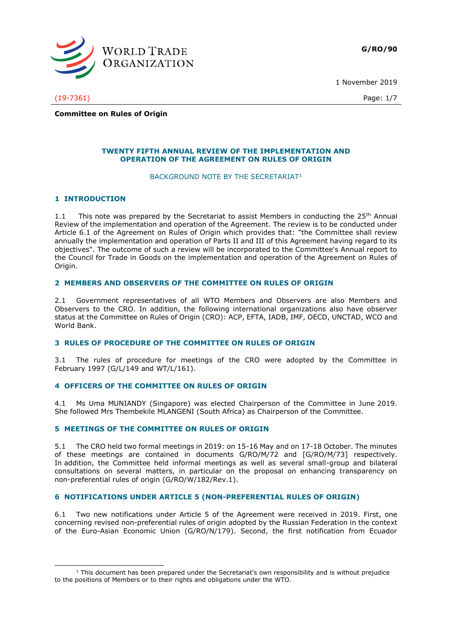

1 November 2019

(19-7361) Page: 1/7

**Committee on Rules of Origin**

### **TWENTY FIFTH ANNUAL REVIEW OF THE IMPLEMENTATION AND OPERATION OF THE AGREEMENT ON RULES OF ORIGIN**

#### BACKGROUND NOTE BY THE SECRETARIAT<sup>1</sup>

# **1 INTRODUCTION**

-

1.1 This note was prepared by the Secretariat to assist Members in conducting the  $25<sup>th</sup>$  Annual Review of the implementation and operation of the Agreement. The review is to be conducted under Article 6.1 of the Agreement on Rules of Origin which provides that: "the Committee shall review annually the implementation and operation of Parts II and III of this Agreement having regard to its objectives". The outcome of such a review will be incorporated to the Committee's Annual report to the Council for Trade in Goods on the implementation and operation of the Agreement on Rules of Origin.

# **2 MEMBERS AND OBSERVERS OF THE COMMITTEE ON RULES OF ORIGIN**

2.1 Government representatives of all WTO Members and Observers are also Members and Observers to the CRO. In addition, the following international organizations also have observer status at the Committee on Rules of Origin (CRO): ACP, EFTA, IADB, IMF, OECD, UNCTAD, WCO and World Bank.

# **3 RULES OF PROCEDURE OF THE COMMITTEE ON RULES OF ORIGIN**

3.1 The rules of procedure for meetings of the CRO were adopted by the Committee in February 1997 (G/L/149 and WT/L/161).

# **4 OFFICERS OF THE COMMITTEE ON RULES OF ORIGIN**

4.1 Ms Uma MUNIANDY (Singapore) was elected Chairperson of the Committee in June 2019. She followed Mrs Thembekile MLANGENI (South Africa) as Chairperson of the Committee.

# **5 MEETINGS OF THE COMMITTEE ON RULES OF ORIGIN**

5.1 The CRO held two formal meetings in 2019: on 15-16 May and on 17-18 October. The minutes of these meetings are contained in documents G/RO/M/72 and [G/RO/M/73] respectively. In addition, the Committee held informal meetings as well as several small-group and bilateral consultations on several matters, in particular on the proposal on enhancing transparency on non-preferential rules of origin (G/RO/W/182/Rev.1).

# **6 NOTIFICATIONS UNDER ARTICLE 5 (NON-PREFERENTIAL RULES OF ORIGIN)**

6.1 Two new notifications under Article 5 of the Agreement were received in 2019. First, one concerning revised non-preferential rules of origin adopted by the Russian Federation in the context of the Euro-Asian Economic Union (G/RO/N/179). Second, the first notification from Ecuador

 $1$  This document has been prepared under the Secretariat's own responsibility and is without prejudice to the positions of Members or to their rights and obligations under the WTO.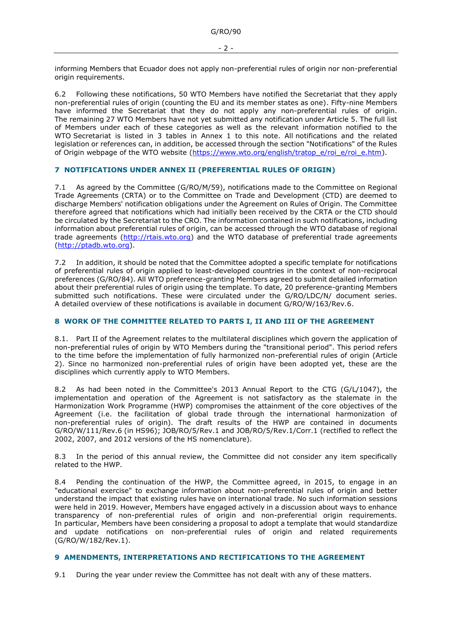informing Members that Ecuador does not apply non-preferential rules of origin nor non-preferential origin requirements.

6.2 Following these notifications, 50 WTO Members have notified the Secretariat that they apply non-preferential rules of origin (counting the EU and its member states as one). Fifty-nine Members have informed the Secretariat that they do not apply any non-preferential rules of origin. The remaining 27 WTO Members have not yet submitted any notification under Article 5. The full list of Members under each of these categories as well as the relevant information notified to the WTO Secretariat is listed in 3 tables in Annex 1 to this note. All notifications and the related legislation or references can, in addition, be accessed through the section "Notifications" of the Rules of Origin webpage of the WTO website [\(https://www.wto.org/english/tratop\\_e/roi\\_e/roi\\_e.htm\)](https://www.wto.org/english/tratop_e/roi_e/roi_e.htm).

# **7 NOTIFICATIONS UNDER ANNEX II (PREFERENTIAL RULES OF ORIGIN)**

7.1 As agreed by the Committee (G/RO/M/59), notifications made to the Committee on Regional Trade Agreements (CRTA) or to the Committee on Trade and Development (CTD) are deemed to discharge Members' notification obligations under the Agreement on Rules of Origin. The Committee therefore agreed that notifications which had initially been received by the CRTA or the CTD should be circulated by the Secretariat to the CRO. The information contained in such notifications, including information about preferential rules of origin, can be accessed through the WTO database of regional trade agreements [\(http://rtais.wto.org\)](http://rtais.wto.org/) and the WTO database of preferential trade agreements [\(http://ptadb.wto.org\)](http://ptadb.wto.org/).

7.2 In addition, it should be noted that the Committee adopted a specific template for notifications of preferential rules of origin applied to least-developed countries in the context of non-reciprocal preferences (G/RO/84). All WTO preference-granting Members agreed to submit detailed information about their preferential rules of origin using the template. To date, 20 preference-granting Members submitted such notifications. These were circulated under the G/RO/LDC/N/ document series. A detailed overview of these notifications is available in document G/RO/W/163/Rev.6.

# **8 WORK OF THE COMMITTEE RELATED TO PARTS I, II AND III OF THE AGREEMENT**

8.1. Part II of the Agreement relates to the multilateral disciplines which govern the application of non-preferential rules of origin by WTO Members during the "transitional period". This period refers to the time before the implementation of fully harmonized non-preferential rules of origin (Article 2). Since no harmonized non-preferential rules of origin have been adopted yet, these are the disciplines which currently apply to WTO Members.

8.2 As had been noted in the Committee's 2013 Annual Report to the CTG (G/L/1047), the implementation and operation of the Agreement is not satisfactory as the stalemate in the Harmonization Work Programme (HWP) compromises the attainment of the core objectives of the Agreement (i.e. the facilitation of global trade through the international harmonization of non-preferential rules of origin). The draft results of the HWP are contained in documents G/RO/W/111/Rev.6 (in HS96); JOB/RO/5/Rev.1 and JOB/RO/5/Rev.1/Corr.1 (rectified to reflect the 2002, 2007, and 2012 versions of the HS nomenclature).

8.3 In the period of this annual review, the Committee did not consider any item specifically related to the HWP.

8.4 Pending the continuation of the HWP, the Committee agreed, in 2015, to engage in an "educational exercise" to exchange information about non-preferential rules of origin and better understand the impact that existing rules have on international trade. No such information sessions were held in 2019. However, Members have engaged actively in a discussion about ways to enhance transparency of non-preferential rules of origin and non-preferential origin requirements. In particular, Members have been considering a proposal to adopt a template that would standardize and update notifications on non-preferential rules of origin and related requirements (G/RO/W/182/Rev.1).

# **9 AMENDMENTS, INTERPRETATIONS AND RECTIFICATIONS TO THE AGREEMENT**

9.1 During the year under review the Committee has not dealt with any of these matters.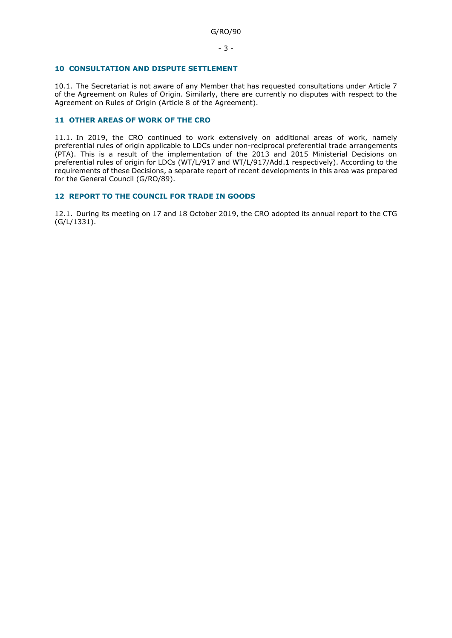## **10 CONSULTATION AND DISPUTE SETTLEMENT**

10.1. The Secretariat is not aware of any Member that has requested consultations under Article 7 of the Agreement on Rules of Origin. Similarly, there are currently no disputes with respect to the Agreement on Rules of Origin (Article 8 of the Agreement).

# **11 OTHER AREAS OF WORK OF THE CRO**

11.1. In 2019, the CRO continued to work extensively on additional areas of work, namely preferential rules of origin applicable to LDCs under non-reciprocal preferential trade arrangements (PTA). This is a result of the implementation of the 2013 and 2015 Ministerial Decisions on preferential rules of origin for LDCs (WT/L/917 and WT/L/917/Add.1 respectively). According to the requirements of these Decisions, a separate report of recent developments in this area was prepared for the General Council (G/RO/89).

# **12 REPORT TO THE COUNCIL FOR TRADE IN GOODS**

12.1. During its meeting on 17 and 18 October 2019, the CRO adopted its annual report to the CTG (G/L/1331).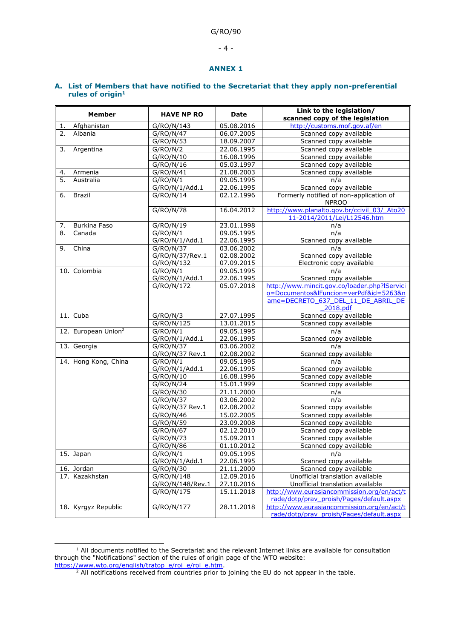- 4 -

#### **ANNEX 1**

# **A. List of Members that have notified to the Secretariat that they apply non-preferential rules of origin<sup>1</sup>**

| Member                          | <b>HAVE NP RO</b> | Date       | Link to the legislation/<br>scanned copy of the legislation                            |
|---------------------------------|-------------------|------------|----------------------------------------------------------------------------------------|
| Afghanistan<br>1.               | G/RO/N/143        | 05.08.2016 | http://customs.mof.gov.af/en                                                           |
| Albania<br>2.                   | G/RO/N/47         | 06.07.2005 | Scanned copy available                                                                 |
|                                 | G/RO/N/53         | 18.09.2007 | Scanned copy available                                                                 |
| Argentina<br>3.                 | G/RO/N/2          | 22.06.1995 | Scanned copy available                                                                 |
|                                 | G/RO/N/10         | 16.08.1996 | Scanned copy available                                                                 |
|                                 | G/RO/N/16         | 05.03.1997 | Scanned copy available                                                                 |
| Armenia<br><u>4.</u>            | G/RO/N/41         | 21.08.2003 | Scanned copy available                                                                 |
| 5.<br>Australia                 | G/RO/N/1          | 09.05.1995 | n/a                                                                                    |
|                                 | G/RO/N/1/Add.1    | 22.06.1995 | Scanned copy available                                                                 |
| <b>Brazil</b><br>6.             | G/RO/N/14         | 02.12.1996 | Formerly notified of non-application of<br><b>NPROO</b>                                |
|                                 | G/RO/N/78         | 16.04.2012 | http://www.planalto.gov.br/ccivil 03/ Ato20<br>11-2014/2011/Lei/L12546.htm             |
| Burkina Faso<br>7.              | G/RO/N/19         | 23.01.1998 | n/a                                                                                    |
| 8.<br>Canada                    | G/RO/N/1          | 09.05.1995 | n/a                                                                                    |
|                                 | G/RO/N/1/Add.1    | 22.06.1995 | Scanned copy available                                                                 |
| China<br>9.                     | G/RO/N/37         | 03.06.2002 | n/a                                                                                    |
|                                 | G/RO/N/37/Rev.1   | 02.08.2002 | Scanned copy available                                                                 |
|                                 | G/RO/N/132        | 07.09.2015 | Electronic copy available                                                              |
| 10. Colombia                    | G/RO/N/1          | 09.05.1995 | n/a                                                                                    |
|                                 | G/RO/N/1/Add.1    | 22.06.1995 | Scanned copy available                                                                 |
|                                 | G/RO/N/172        | 05.07.2018 | http://www.mincit.gov.co/loader.php?lServici                                           |
|                                 |                   |            | o=Documentos&lFuncion=verPdf&id=5263&n                                                 |
|                                 |                   |            | ame=DECRETO 637 DEL 11 DE ABRIL DE<br>2018.pdf                                         |
| 11. Cuba                        | G/RO/N/3          | 27.07.1995 | Scanned copy available                                                                 |
|                                 | G/RO/N/125        | 13.01.2015 | Scanned copy available                                                                 |
| 12. European Union <sup>2</sup> | G/RO/N/1          | 09.05.1995 | n/a                                                                                    |
|                                 | G/RO/N/1/Add.1    | 22.06.1995 | Scanned copy available                                                                 |
| 13. Georgia                     | G/RO/N/37         | 03.06.2002 | n/a                                                                                    |
|                                 | G/RO/N/37 Rev.1   | 02.08.2002 | Scanned copy available                                                                 |
| 14. Hong Kong, China            | G/RO/N/1          | 09.05.1995 | n/a                                                                                    |
|                                 | G/RO/N/1/Add.1    | 22.06.1995 | Scanned copy available                                                                 |
|                                 | G/RO/N/10         | 16.08.1996 | Scanned copy available                                                                 |
|                                 | G/RO/N/24         | 15.01.1999 | Scanned copy available                                                                 |
|                                 | G/RO/N/30         | 21.11.2000 | n/a                                                                                    |
|                                 | G/RO/N/37         | 03.06.2002 | n/a                                                                                    |
|                                 | G/RO/N/37 Rev.1   | 02.08.2002 | Scanned copy available                                                                 |
|                                 | G/RO/N/46         | 15.02.2005 | Scanned copy available                                                                 |
|                                 | G/RO/N/59         | 23.09.2008 | Scanned copy available                                                                 |
|                                 | G/RO/N/67         | 02.12.2010 | Scanned copy available                                                                 |
|                                 | G/RO/N/73         | 15.09.2011 | Scanned copy available                                                                 |
|                                 | G/RO/N/86         | 01.10.2012 | Scanned copy available                                                                 |
| 15. Japan                       | G/RO/N/1          | 09.05.1995 | n/a                                                                                    |
|                                 | G/RO/N/1/Add.1    | 22.06.1995 | Scanned copy available                                                                 |
| 16. Jordan                      | G/RO/N/30         | 21.11.2000 | Scanned copy available                                                                 |
| 17. Kazakhstan                  | G/RO/N/148        | 12.09.2016 | Unofficial translation available                                                       |
|                                 | G/RO/N/148/Rev.1  | 27.10.2016 | Unofficial translation available                                                       |
|                                 | G/RO/N/175        | 15.11.2018 | http://www.eurasiancommission.org/en/act/t<br>rade/dotp/prav proish/Pages/default.aspx |
| 18. Kyrgyz Republic             | G/RO/N/177        | 28.11.2018 | http://www.eurasiancommission.org/en/act/t                                             |
|                                 |                   |            | rade/dotp/prav proish/Pages/default.aspx                                               |

 $1$  All documents notified to the Secretariat and the relevant Internet links are available for consultation through the "Notifications" section of the rules of origin page of the WTO website: [https://www.wto.org/english/tratop\\_e/roi\\_e/roi\\_e.htm.](https://www.wto.org/english/tratop_e/roi_e/roi_e.htm)

-

<sup>&</sup>lt;sup>2</sup> All notifications received from countries prior to joining the EU do not appear in the table.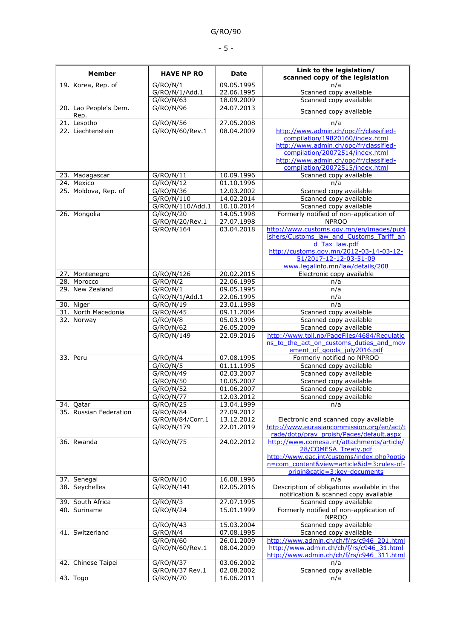| I<br>۰.<br>., |
|---------------|
|---------------|

|                                  |                              |                          | Link to the legislation/                                                               |
|----------------------------------|------------------------------|--------------------------|----------------------------------------------------------------------------------------|
| <b>Member</b>                    | <b>HAVE NP RO</b>            | Date                     | scanned copy of the legislation                                                        |
| 19. Korea, Rep. of               | G/RO/N/1                     | 09.05.1995               | n/a                                                                                    |
|                                  | G/RO/N/1/Add.1<br>G/RO/N/63  | 22.06.1995<br>18.09.2009 | Scanned copy available<br>Scanned copy available                                       |
| 20. Lao People's Dem.            | G/RO/N/96                    | 24.07.2013               |                                                                                        |
| Rep.                             |                              |                          | Scanned copy available                                                                 |
| 21. Lesotho                      | G/RO/N/56                    | 27.05.2008               | n/a                                                                                    |
| 22. Liechtenstein                | G/RO/N/60/Rev.1              | 08.04.2009               | http://www.admin.ch/opc/fr/classified-                                                 |
|                                  |                              |                          | compilation/19820160/index.html<br>http://www.admin.ch/opc/fr/classified-              |
|                                  |                              |                          | compilation/20072514/index.html                                                        |
|                                  |                              |                          | http://www.admin.ch/opc/fr/classified-                                                 |
|                                  |                              |                          | compilation/20072515/index.html                                                        |
| 23. Madagascar                   | G/RO/N/11                    | 10.09.1996               | Scanned copy available                                                                 |
| 24. Mexico                       | G/RO/N/12                    | 01.10.1996               | n/a                                                                                    |
| 25. Moldova, Rep. of             | G/RO/N/36                    | 12.03.2002               | Scanned copy available                                                                 |
|                                  | G/RO/N/110                   | 14.02.2014               | Scanned copy available                                                                 |
|                                  | G/RO/N/110/Add.1             | 10.10.2014               | Scanned copy available                                                                 |
| 26. Mongolia                     | G/RO/N/20<br>G/RO/N/20/Rev.1 | 14.05.1998<br>27.07.1998 | Formerly notified of non-application of<br><b>NPROO</b>                                |
|                                  | G/RO/N/164                   | 03.04.2018               | http://www.customs.gov.mn/en/images/publ                                               |
|                                  |                              |                          | ishers/Customs law and Customs Tariff an                                               |
|                                  |                              |                          | $d$ Tax law.pdf                                                                        |
|                                  |                              |                          | http://customs.gov.mn/2012-03-14-03-12-                                                |
|                                  |                              |                          | 51/2017-12-12-03-51-09                                                                 |
|                                  |                              |                          | www.legalinfo.mn/law/details/208                                                       |
| 27. Montenegro<br>28. Morocco    | G/RO/N/126                   | 20.02.2015<br>22.06.1995 | Electronic copy available                                                              |
| 29. New Zealand                  | G/RO/N/2                     | 09.05.1995               | n/a                                                                                    |
|                                  | G/RO/N/1<br>G/RO/N/1/Add.1   | 22.06.1995               | n/a<br>n/a                                                                             |
| 30. Niger                        | G/RO/N/19                    | 23.01.1998               | n/a                                                                                    |
| 31. North Macedonia              | G/RO/N/45                    | 09.11.2004               | Scanned copy available                                                                 |
| 32. Norway                       | G/RO/N/8                     | 05.03.1996               | Scanned copy available                                                                 |
|                                  | G/RO/N/62                    | 26.05.2009               | Scanned copy available                                                                 |
|                                  | G/RO/N/149                   | 22.09.2016               | http://www.toll.no/PageFiles/4684/Regulatio                                            |
|                                  |                              |                          | ns to the act on customs duties and mov                                                |
| 33. Peru                         |                              |                          | ement of goods july2016.pdf<br>Formerly notified no NPROO                              |
|                                  | G/RO/N/4<br>G/RO/N/5         | 07.08.1995<br>01.11.1995 | Scanned copy available                                                                 |
|                                  | G/RO/N/49                    | 02.03.2007               | Scanned copy available                                                                 |
|                                  | G/RO/N/50                    | 10.05.2007               | Scanned copy available                                                                 |
|                                  | G/RO/N/52                    | 01.06.2007               | Scanned copy available                                                                 |
|                                  | G/RO/N/77                    | 12.03.2012               | Scanned copy available                                                                 |
| 34. Qatar                        | G/RO/N/25                    | 13.04.1999               | n/a                                                                                    |
| 35. Russian Federation           | G/RO/N/84                    | 27.09.2012               |                                                                                        |
|                                  | G/RO/N/84/Corr.1             | 13.12.2012               | Electronic and scanned copy available                                                  |
|                                  | G/RO/N/179                   | 22.01.2019               | http://www.eurasiancommission.org/en/act/t                                             |
| 36. Rwanda                       | G/RO/N/75                    | 24.02.2012               | rade/dotp/prav_proish/Pages/default.aspx<br>http://www.comesa.int/attachments/article/ |
|                                  |                              |                          | 28/COMESA Treaty.pdf                                                                   |
|                                  |                              |                          | http://www.eac.int/customs/index.php?optio                                             |
|                                  |                              |                          | n=com_content&view=article&id=3:rules-of-                                              |
|                                  |                              |                          | origin&catid=3:key-documents                                                           |
| 37. Senegal                      | G/RO/N/10                    | 16.08.1996               | n/a                                                                                    |
| 38. Seychelles                   | G/RO/N/141                   | 02.05.2016               | Description of obligations available in the                                            |
|                                  |                              |                          | notification & scanned copy available                                                  |
| 39. South Africa<br>40. Suriname | G/RO/N/3<br>G/RO/N/24        | 27.07.1995<br>15.01.1999 | Scanned copy available<br>Formerly notified of non-application of                      |
|                                  |                              |                          | <b>NPROO</b>                                                                           |
|                                  | G/RO/N/43                    | 15.03.2004               | Scanned copy available                                                                 |
| 41. Switzerland                  | G/RO/N/4                     | 07.08.1995               | Scanned copy available                                                                 |
|                                  | G/RO/N/60                    | 26.01.2009               | http://www.admin.ch/ch/f/rs/c946_201.html                                              |
|                                  | G/RO/N/60/Rev.1              | 08.04.2009               | http://www.admin.ch/ch/f/rs/c946 31.html                                               |
|                                  |                              |                          | http://www.admin.ch/ch/f/rs/c946 311.html                                              |
| 42. Chinese Taipei               | G/RO/N/37                    | 03.06.2002               | n/a                                                                                    |
|                                  | G/RO/N/37 Rev.1              | 02.08.2002               | Scanned copy available                                                                 |
| 43. Togo                         | G/RO/N/70                    | 16.06.2011               | n/a                                                                                    |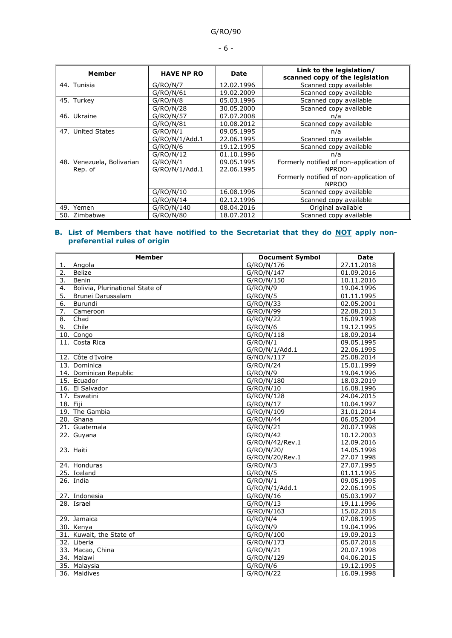| <b>Member</b>             | <b>HAVE NP RO</b> | <b>Date</b> | Link to the legislation/<br>scanned copy of the legislation |
|---------------------------|-------------------|-------------|-------------------------------------------------------------|
| 44. Tunisia               | G/RO/N/7          | 12.02.1996  | Scanned copy available                                      |
|                           | G/RO/N/61         | 19.02.2009  | Scanned copy available                                      |
| 45. Turkey                | G/RO/N/8          | 05.03.1996  | Scanned copy available                                      |
|                           | G/RO/N/28         | 30.05.2000  | Scanned copy available                                      |
| 46. Ukraine               | G/RO/N/57         | 07.07.2008  | n/a                                                         |
|                           | G/RO/N/81         | 10.08.2012  | Scanned copy available                                      |
| 47. United States         | G/RO/N/1          | 09.05.1995  | n/a                                                         |
|                           | G/RO/N/1/Add.1    | 22.06.1995  | Scanned copy available                                      |
|                           | G/RO/N/6          | 19.12.1995  | Scanned copy available                                      |
|                           | G/RO/N/12         | 01.10.1996  | n/a                                                         |
| 48. Venezuela, Bolivarian | G/RO/N/1          | 09.05.1995  | Formerly notified of non-application of                     |
| Rep. of                   | G/RO/N/1/Add.1    | 22.06.1995  | <b>NPROO</b>                                                |
|                           |                   |             | Formerly notified of non-application of                     |
|                           |                   |             | <b>NPROO</b>                                                |
|                           | G/RO/N/10         | 16.08.1996  | Scanned copy available                                      |
|                           | G/RO/N/14         | 02.12.1996  | Scanned copy available                                      |
| 49. Yemen                 | G/RO/N/140        | 08.04.2016  | Original available                                          |
| 50. Zimbabwe              | G/RO/N/80         | 18.07.2012  | Scanned copy available                                      |

### **B. List of Members that have notified to the Secretariat that they do NOT apply nonpreferential rules of origin**

| <b>Member</b>                         | <b>Document Symbol</b> | <b>Date</b> |
|---------------------------------------|------------------------|-------------|
| Angola<br>1.                          | G/RO/N/176             | 27.11.2018  |
| 2.<br><b>Belize</b>                   | G/RO/N/147             | 01.09.2016  |
| 3.<br>Benin                           | G/RO/N/150             | 10.11.2016  |
| 4.<br>Bolivia, Plurinational State of | G/RO/N/9               | 19.04.1996  |
| 5.<br>Brunei Darussalam               | G/RO/N/5               | 01.11.1995  |
| 6.<br>Burundi                         | G/RO/N/33              | 02.05.2001  |
| $\overline{7}$ .<br>Cameroon          | G/RO/N/99              | 22.08.2013  |
| 8.<br>Chad                            | G/RO/N/22              | 16.09.1998  |
| Chile<br>9.                           | G/RO/N/6               | 19.12.1995  |
| 10. Congo                             | G/RO/N/118             | 18.09.2014  |
| 11. Costa Rica                        | G/RO/N/1               | 09.05.1995  |
|                                       | G/RO/N/1/Add.1         | 22.06.1995  |
| 12. Côte d'Ivoire                     | G/NO/N/117             | 25.08.2014  |
| 13. Dominica                          | G/RO/N/24              | 15.01.1999  |
| 14. Dominican Republic                | G/RO/N/9               | 19.04.1996  |
| 15. Ecuador                           | G/RO/N/180             | 18.03.2019  |
| 16. El Salvador                       | G/RO/N/10              | 16.08.1996  |
| 17. Eswatini                          | G/RO/N/128             | 24.04.2015  |
| $18.$ Fiji                            | G/RO/N/17              | 10.04.1997  |
| 19. The Gambia                        | G/RO/N/109             | 31.01.2014  |
| 20. Ghana                             | G/RO/N/44              | 06.05.2004  |
| 21. Guatemala                         | G/RO/N/21              | 20.07.1998  |
| 22. Guyana                            | G/RO/N/42              | 10.12.2003  |
|                                       | G/RO/N/42/Rev.1        | 12.09.2016  |
| 23. Haiti                             | G/RO/N/20/             | 14.05.1998  |
|                                       | G/RO/N/20/Rev.1        | 27.07 1998  |
| 24. Honduras                          | G/RO/N/3               | 27.07.1995  |
| 25. Iceland                           | G/RO/N/5               | 01.11.1995  |
| 26. India                             | G/RO/N/1               | 09.05.1995  |
|                                       | G/RO/N/1/Add.1         | 22.06.1995  |
| 27. Indonesia                         | G/RO/N/16              | 05.03.1997  |
| $\overline{28}$ . Israel              | G/RO/N/13              | 19.11.1996  |
|                                       | G/RO/N/163             | 15.02.2018  |
| 29. Jamaica                           | G/RO/N/4               | 07.08.1995  |
| 30. Kenya                             | G/RO/N/9               | 19.04.1996  |
| 31. Kuwait, the State of              | G/RO/N/100             | 19.09.2013  |
| 32. Liberia                           | G/RO/N/173             | 05.07.2018  |
| 33. Macao, China                      | G/RO/N/21              | 20.07.1998  |
| 34. Malawi                            | G/RO/N/129             | 04.06.2015  |
| 35. Malaysia                          | G/RO/N/6               | 19.12.1995  |
| 36. Maldives                          | G/RO/N/22              | 16.09.1998  |